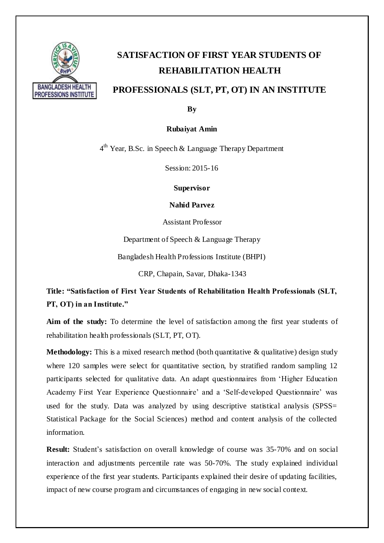

## **SATISFACTION OF FIRST YEAR STUDENTS OF REHABILITATION HEALTH**

## **PROFESSIONALS (SLT, PT, OT) IN AN INSTITUTE**

**By**

**Rubaiyat Amin**

4<sup>th</sup> Year, B.Sc. in Speech & Language Therapy Department

Session: 2015-16

**Supervisor**

**Nahid Parvez**

Assistant Professor

Department of Speech & Language Therapy

Bangladesh Health Professions Institute (BHPI)

CRP, Chapain, Savar, Dhaka-1343

**Title: "Satisfaction of First Year Students of Rehabilitation Health Professionals (SLT, PT, OT) in an Institute."**

**Aim of the study:** To determine the level of satisfaction among the first year students of rehabilitation health professionals (SLT, PT, OT).

**Methodology:** This is a mixed research method (both quantitative & qualitative) design study where 120 samples were select for quantitative section, by stratified random sampling 12 participants selected for qualitative data. An adapt questionnaires from 'Higher Education Academy First Year Experience Questionnaire' and a 'Self-developed Questionnaire' was used for the study. Data was analyzed by using descriptive statistical analysis (SPSS= Statistical Package for the Social Sciences) method and content analysis of the collected information.

**Result:** Student's satisfaction on overall knowledge of course was 35-70% and on social interaction and adjustments percentile rate was 50-70%. The study explained individual experience of the first year students. Participants explained their desire of updating facilities, impact of new course program and circumstances of engaging in new social context.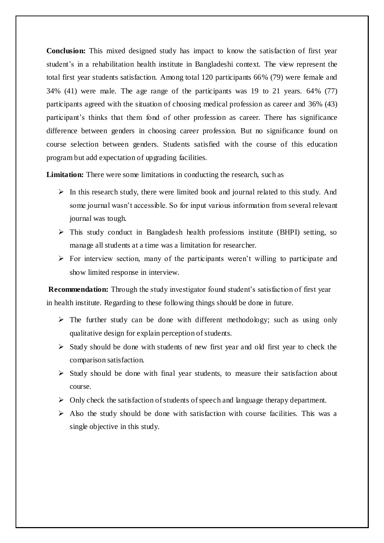**Conclusion:** This mixed designed study has impact to know the satisfaction of first year student's in a rehabilitation health institute in Bangladeshi context. The view represent the total first year students satisfaction. Among total 120 participants 66% (79) were female and 34% (41) were male. The age range of the participants was 19 to 21 years. 64% (77) participants agreed with the situation of choosing medical profession as career and 36% (43) participant's thinks that them fond of other profession as career. There has significance difference between genders in choosing career profession. But no significance found on course selection between genders. Students satisfied with the course of this education program but add expectation of upgrading facilities.

**Limitation:** There were some limitations in conducting the research, such as

- $\triangleright$  In this research study, there were limited book and journal related to this study. And some journal wasn't accessible. So for input various information from several relevant journal was tough.
- $\triangleright$  This study conduct in Bangladesh health professions institute (BHPI) setting, so manage all students at a time was a limitation for researcher.
- $\triangleright$  For interview section, many of the participants weren't willing to participate and show limited response in interview.

**Recommendation:** Through the study investigator found student's satisfaction of first year in health institute. Regarding to these following things should be done in future.

- $\triangleright$  The further study can be done with different methodology; such as using only qualitative design for explain perception of students.
- $\triangleright$  Study should be done with students of new first year and old first year to check the comparison satisfaction.
- $\triangleright$  Study should be done with final year students, to measure their satisfaction about course.
- $\triangleright$  Only check the satisfaction of students of speech and language therapy department.
- $\triangleright$  Also the study should be done with satisfaction with course facilities. This was a single objective in this study.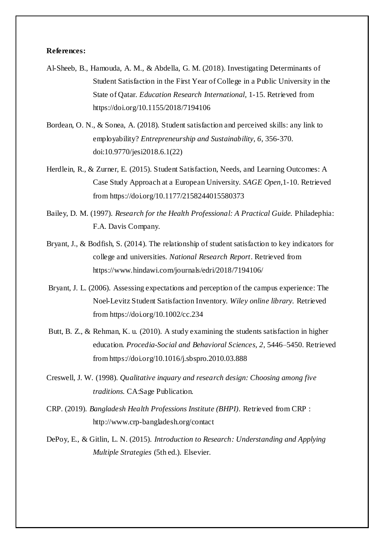## **References:**

- Al-Sheeb, B., Hamouda, A. M., & Abdella, G. M. (2018). Investigating Determinants of Student Satisfaction in the First Year of College in a Public University in the State of Qatar. *Education Research International*, 1-15. Retrieved from https://doi.org/10.1155/2018/7194106
- Bordean, O. N., & Sonea, A. (2018). Student satisfaction and perceived skills: any link to employability? *Entrepreneurship and Sustainability, 6*, 356-370. doi:10.9770/jesi2018.6.1(22)
- Herdlein, R., & Zurner, E. (2015). Student Satisfaction, Needs, and Learning Outcomes: A Case Study Approach at a European University. *SAGE Open*,1-10. Retrieved from https://doi.org/10.1177/2158244015580373
- Bailey, D. M. (1997). *Research for the Health Professional: A Practical Guide.* Philadephia: F.A. Davis Company.
- Bryant, J., & Bodfish, S. (2014). The relationship of student satisfaction to key indicators for college and universities. *National Research Report*. Retrieved from https://www.hindawi.com/journals/edri/2018/7194106/
- Bryant, J. L. (2006). Assessing expectations and perception of the campus experience: The Noel-Levitz Student Satisfaction Inventory. *Wiley online library.* Retrieved from https://doi.org/10.1002/cc.234
- Butt, B. Z., & Rehman, K. u. (2010). A study examining the students satisfaction in higher education. *Procedia-Social and Behavioral Sciences, 2*, 5446–5450. Retrieved from https://doi.org/10.1016/j.sbspro.2010.03.888
- Creswell, J. W. (1998). *Qualitative inquary and research design: Choosing among five traditions.* CA:Sage Publication.
- CRP. (2019). *Bangladesh Health Professions Institute (BHPI)*. Retrieved from CRP : http://www.crp-bangladesh.org/contact
- DePoy, E., & Gitlin, L. N. (2015). *Introduction to Research: Understanding and Applying Multiple Strategies* (5th ed.). Elsevier.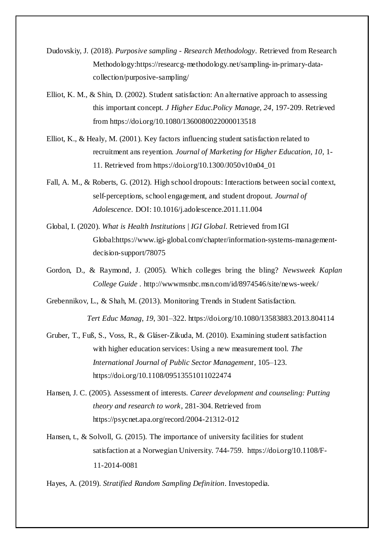- Dudovskiy, J. (2018). *Purposive sampling - Research Methodology*. Retrieved from Research Methodology:https://researcg-methodology.net/sampling-in-primary-datacollection/purposive-sampling/
- Elliot, K. M., & Shin, D. (2002). Student satisfaction: An alternative approach to assessing this important concept. *J Higher Educ.Policy Manage, 24*, 197-209. Retrieved from https://doi.org/10.1080/1360080022000013518
- Elliot, K., & Healy, M. (2001). Key factors influencing student satisfaction related to recruitment ans reyention. *Journal of Marketing for Higher Education, 10*, 1- 11. Retrieved from https://doi.org/10.1300/J050v10n04\_01
- Fall, A. M., & Roberts, G. (2012). High school dropouts: Interactions between social context, self-perceptions, school engagement, and student dropout. *Journal of Adolescence*. DOI: 10.1016/j.adolescence.2011.11.004
- Global, I. (2020). *What is Health Institutions | IGI Global*. Retrieved from IGI Global:https://www.igi-global.com/chapter/information-systems-managementdecision-support/78075
- Gordon, D., & Raymond, J. (2005). Which colleges bring the bling? *Newsweek Kaplan College Guide* . http://wwwmsnbc.msn.com/id/8974546/site/news-week/

Grebennikov, L., & Shah, M. (2013). Monitoring Trends in Student Satisfaction. *Tert Educ Manag*, *19*, 301–322. https://doi.org/10.1080/13583883.2013.804114

- Gruber, T., Fuß, S., Voss, R., & Gláser-Zikuda, M. (2010). Examining student satisfaction with higher education services: Using a new measurement tool. *The International Journal of Public Sector Management*, 105–123. https://doi.org/10.1108/09513551011022474
- Hansen, J. C. (2005). Assessment of interests. *Career development and counseling: Putting theory and research to work*, 281-304. Retrieved from https://psycnet.apa.org/record/2004-21312-012
- Hansen, t., & Solvoll, G. (2015). The importance of university facilities for student satisfaction at a Norwegian University. 744-759. https://doi.org/10.1108/F-11-2014-0081

Hayes, A. (2019). *Stratified Random Sampling Definition*. Investopedia.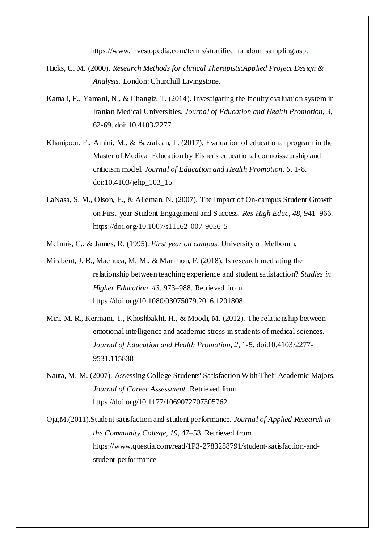https://www.investopedia.com/terms/stratified\_random\_sampling.asp.

- Hicks, C. M. (2000). *Research Methods for clinical Therapists:Applied Project Design & Analysis.* London: Churchill Livingstone.
- Kamali, F., Yamani, N., & Changiz, T. (2014). Investigating the faculty evaluation system in Iranian Medical Universities. *Journal of Education and Health Promotion, 3*, 62-69. doi: 10.4103/2277
- Khanipoor, F., Amini, M., & Bazrafcan, L. (2017). Evaluation of educational program in the Master of Medical Education by Eisner's educational connoisseurship and criticism model. *Journal of Education and Health Promotion, 6*, 1-8. doi:10.4103/jehp\_103\_15
- LaNasa, S. M., Olson, E., & Alleman, N. (2007). The Impact of On-campus Student Growth on First-year Student Engagement and Success. *Res High Educ*, *48*, 941–966. https://doi.org/10.1007/s11162-007-9056-5
- McInnis, C., & James, R. (1995). *First year on campus.* University of Melbourn.
- Mirabent, J. B., Machuca, M. M., & Marimon, F. (2018). Is research mediating the relationship between teaching experience and student satisfaction? *Studies in Higher Education, 43*, 973–988. Retrieved from https://doi.org/10.1080/03075079.2016.1201808
- Miri, M. R., Kermani, T., Khoshbakht, H., & Moodi, M. (2012). The relationship between emotional intelligence and academic stress in students of medical sciences. *Journal of Education and Health Promotion, 2*, 1-5. doi:10.4103/2277- 9531.115838
- Nauta, M. M. (2007). Assessing College Students' Satisfaction With Their Academic Majors. *Journal of Career Assessment*. Retrieved from https://doi.org/10.1177/1069072707305762
- Oja,M.(2011).Student satisfaction and student performance. *Journal of Applied Research in the Community College, 19*, 47–53. Retrieved from https://www.questia.com/read/1P3-2783288791/student-satisfaction-andstudent-performance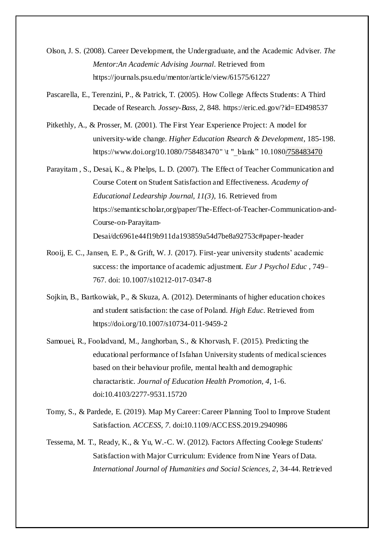- Olson, J. S. (2008). Career Development, the Undergraduate, and the Academic Adviser. *The Mentor:An Academic Advising Journal*. Retrieved from https://journals.psu.edu/mentor/article/view/61575/61227
- Pascarella, E., Terenzini, P., & Patrick, T. (2005). How College Affects Students: A Third Decade of Research. *Jossey-Bass*, *2*, 848. https://eric.ed.gov/?id=ED498537
- Pitkethly, A., & Prosser, M. (2001). The First Year Experience Project: A model for university-wide change. *Higher Education Rsearch & Development*, 185-198. https://www.doi.org/10.1080/758483470" \t "\_blank" 10.1080/758483470
- Parayitam , S., Desai, K., & Phelps, L. D. (2007). The Effect of Teacher Communication and Course Cotent on Student Satisfaction and Effectiveness. *Academy of Educational Ledearship Journal, 11(3)*, 16. Retrieved from https://semanticscholar,org/paper/The-Effect-of-Teacher-Communication-and-Course-on-Parayitam-Desai/dc6961e44f19b911da193859a54d7be8a92753c#paper-header
- Rooij, E. C., Jansen, E. P., & Grift, W. J. (2017). First-year university students' academic success: the importance of academic adjustment. *Eur J Psychol Educ* , 749– 767. doi: 10.1007/s10212-017-0347-8
- Sojkin, B., Bartkowiak, P., & Skuza, A. (2012). Determinants of higher education choices and student satisfaction: the case of Poland. *High Educ*. Retrieved from https://doi.org/10.1007/s10734-011-9459-2
- Samouei, R., Fooladvand, M., Janghorban, S., & Khorvash, F. (2015). Predicting the educational performance of Isfahan University students of medical sciences based on their behaviour profile, mental health and demographic charactaristic. *Journal of Education Health Promotion, 4*, 1-6. doi:10.4103/2277-9531.15720
- Tomy, S., & Pardede, E. (2019). Map My Career: Career Planning Tool to Improve Student Satisfaction. *ACCESS, 7*. doi:10.1109/ACCESS.2019.2940986
- Tessema, M. T., Ready, K., & Yu, W.-C. W. (2012). Factors Affecting Coolege Students' Satisfaction with Major Curriculum: Evidence from Nine Years of Data. *International Journal of Humanities and Social Sciences, 2*, 34-44. Retrieved